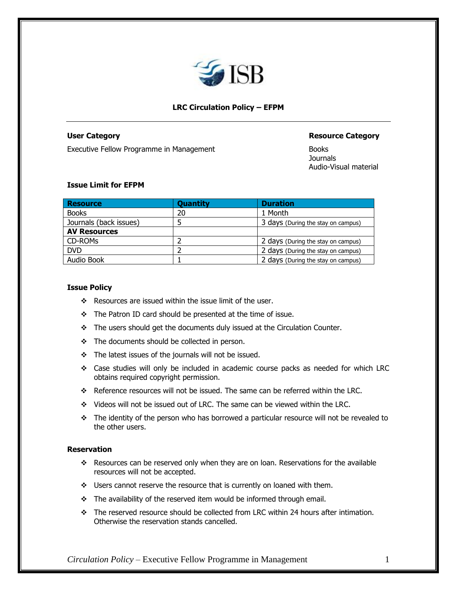

# **LRC Circulation Policy – EFPM**

Executive Fellow Programme in Management

#### **User Category Resource Category Resource Category**

**Journals** Audio-Visual material

## **Issue Limit for EFPM**

| <b>Resource</b>        | <b>Quantity</b> | <b>Duration</b>                    |
|------------------------|-----------------|------------------------------------|
| <b>Books</b>           | 20              | 1 Month                            |
| Journals (back issues) |                 | 3 days (During the stay on campus) |
| <b>AV Resources</b>    |                 |                                    |
| CD-ROMs                |                 | 2 days (During the stay on campus) |
| <b>DVD</b>             |                 | 2 days (During the stay on campus) |
| Audio Book             |                 | 2 days (During the stay on campus) |

# **Issue Policy**

- ❖ Resources are issued within the issue limit of the user.
- ❖ The Patron ID card should be presented at the time of issue.
- ❖ The users should get the documents duly issued at the Circulation Counter.
- ❖ The documents should be collected in person.
- ❖ The latest issues of the journals will not be issued.
- ❖ Case studies will only be included in academic course packs as needed for which LRC obtains required copyright permission.
- ❖ Reference resources will not be issued. The same can be referred within the LRC.
- ❖ Videos will not be issued out of LRC. The same can be viewed within the LRC.
- ❖ The identity of the person who has borrowed a particular resource will not be revealed to the other users.

## **Reservation**

- ❖ Resources can be reserved only when they are on loan. Reservations for the available resources will not be accepted.
- ❖ Users cannot reserve the resource that is currently on loaned with them.
- ❖ The availability of the reserved item would be informed through email.
- ❖ The reserved resource should be collected from LRC within 24 hours after intimation. Otherwise the reservation stands cancelled.

*Circulation Policy –* Executive Fellow Programme in Management 1